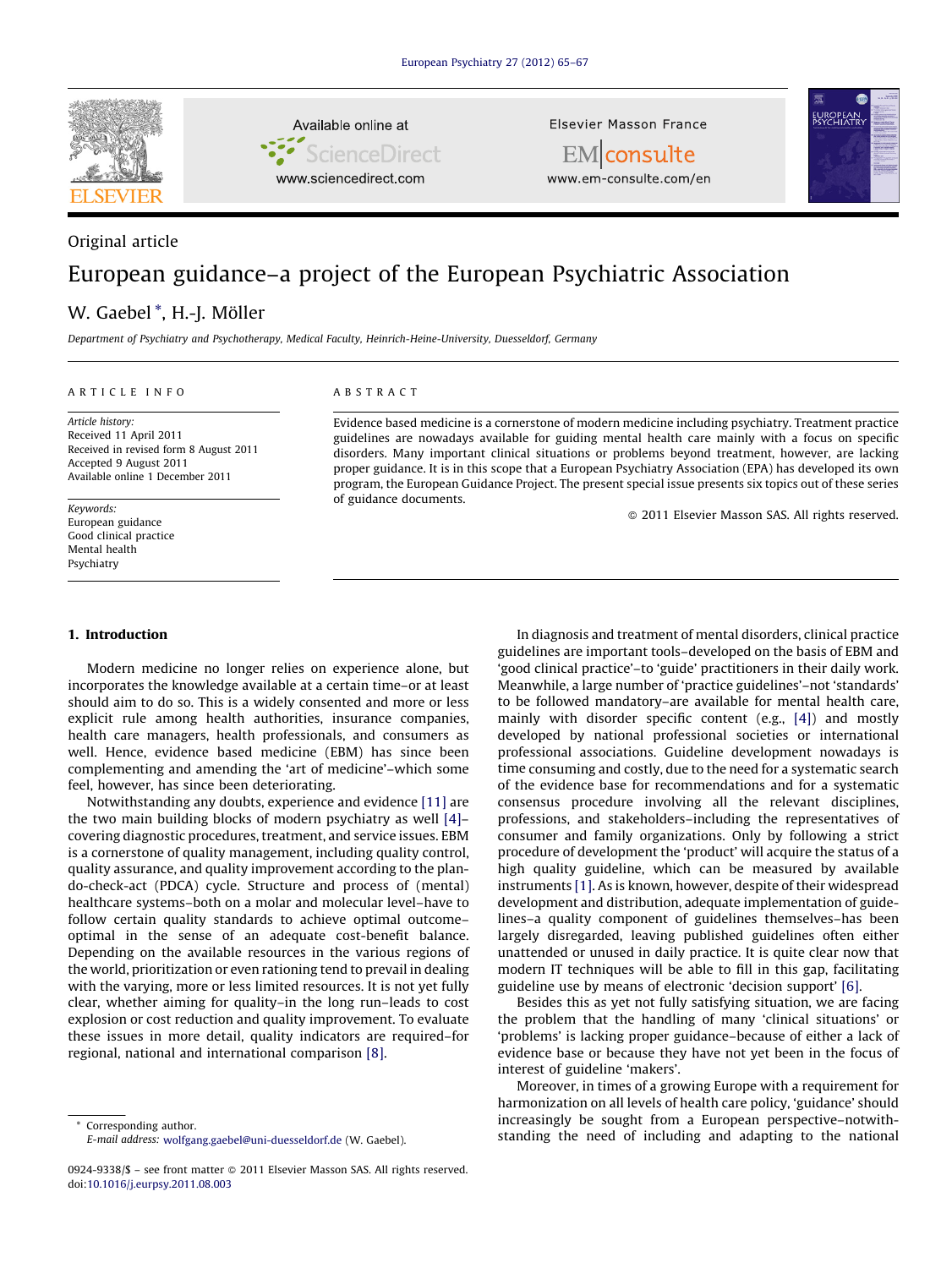

Original article

Available online at ' ScienceDirect www.sciencedirect.com

Elsevier Masson France



EMconsulte www.em-consulte.com/en

# European guidance–a project of the European Psychiatric Association

## W. Gaebel \*, H.-J. Möller

Department of Psychiatry and Psychotherapy, Medical Faculty, Heinrich-Heine-University, Duesseldorf, Germany

#### A R T I C L E I N F O

Article history: Received 11 April 2011 Received in revised form 8 August 2011 Accepted 9 August 2011 Available online 1 December 2011

Keywords: European guidance Good clinical practice Mental health Psychiatry

## A B S T R A C T

Evidence based medicine is a cornerstone of modern medicine including psychiatry. Treatment practice guidelines are nowadays available for guiding mental health care mainly with a focus on specific disorders. Many important clinical situations or problems beyond treatment, however, are lacking proper guidance. It is in this scope that a European Psychiatry Association (EPA) has developed its own program, the European Guidance Project. The present special issue presents six topics out of these series of guidance documents.

 $\odot$  2011 Elsevier Masson SAS. All rights reserved.

#### 1. Introduction

Modern medicine no longer relies on experience alone, but incorporates the knowledge available at a certain time–or at least should aim to do so. This is a widely consented and more or less explicit rule among health authorities, insurance companies, health care managers, health professionals, and consumers as well. Hence, evidence based medicine (EBM) has since been complementing and amending the 'art of medicine'–which some feel, however, has since been deteriorating.

Notwithstanding any doubts, experience and evidence [\[11\]](#page-2-0) are the two main building blocks of modern psychiatry as well [\[4\]–](#page-2-0) covering diagnostic procedures, treatment, and service issues. EBM is a cornerstone of quality management, including quality control, quality assurance, and quality improvement according to the plando-check-act (PDCA) cycle. Structure and process of (mental) healthcare systems–both on a molar and molecular level–have to follow certain quality standards to achieve optimal outcome– optimal in the sense of an adequate cost-benefit balance. Depending on the available resources in the various regions of the world, prioritization or even rationing tend to prevail in dealing with the varying, more or less limited resources. It is not yet fully clear, whether aiming for quality–in the long run–leads to cost explosion or cost reduction and quality improvement. To evaluate these issues in more detail, quality indicators are required–for regional, national and international comparison [\[8\]](#page-2-0).

Corresponding author. E-mail address: [wolfgang.gaebel@uni-duesseldorf.de](mailto:wolfgang.gaebel@uni-duesseldorf.de) (W. Gaebel).

In diagnosis and treatment of mental disorders, clinical practice guidelines are important tools–developed on the basis of EBM and 'good clinical practice'–to 'guide' practitioners in their daily work. Meanwhile, a large number of 'practice guidelines'–not 'standards' to be followed mandatory–are available for mental health care, mainly with disorder specific content (e.g., [\[4\]\)](#page-2-0) and mostly developed by national professional societies or international professional associations. Guideline development nowadays is time consuming and costly, due to the need for a systematic search of the evidence base for recommendations and for a systematic consensus procedure involving all the relevant disciplines, professions, and stakeholders–including the representatives of consumer and family organizations. Only by following a strict procedure of development the 'product' will acquire the status of a high quality guideline, which can be measured by available instruments [\[1\].](#page-1-0) As is known, however, despite of their widespread development and distribution, adequate implementation of guidelines–a quality component of guidelines themselves–has been largely disregarded, leaving published guidelines often either unattended or unused in daily practice. It is quite clear now that modern IT techniques will be able to fill in this gap, facilitating guideline use by means of electronic 'decision support' [\[6\].](#page-2-0)

Besides this as yet not fully satisfying situation, we are facing the problem that the handling of many 'clinical situations' or 'problems' is lacking proper guidance–because of either a lack of evidence base or because they have not yet been in the focus of interest of guideline 'makers'.

Moreover, in times of a growing Europe with a requirement for harmonization on all levels of health care policy, 'guidance' should increasingly be sought from a European perspective–notwithstanding the need of including and adapting to the national

<sup>0924-9338/\$ –</sup> see front matter © 2011 Elsevier Masson SAS. All rights reserved. doi:[10.1016/j.eurpsy.2011.08.003](http://dx.doi.org/10.1016/j.eurpsy.2011.08.003)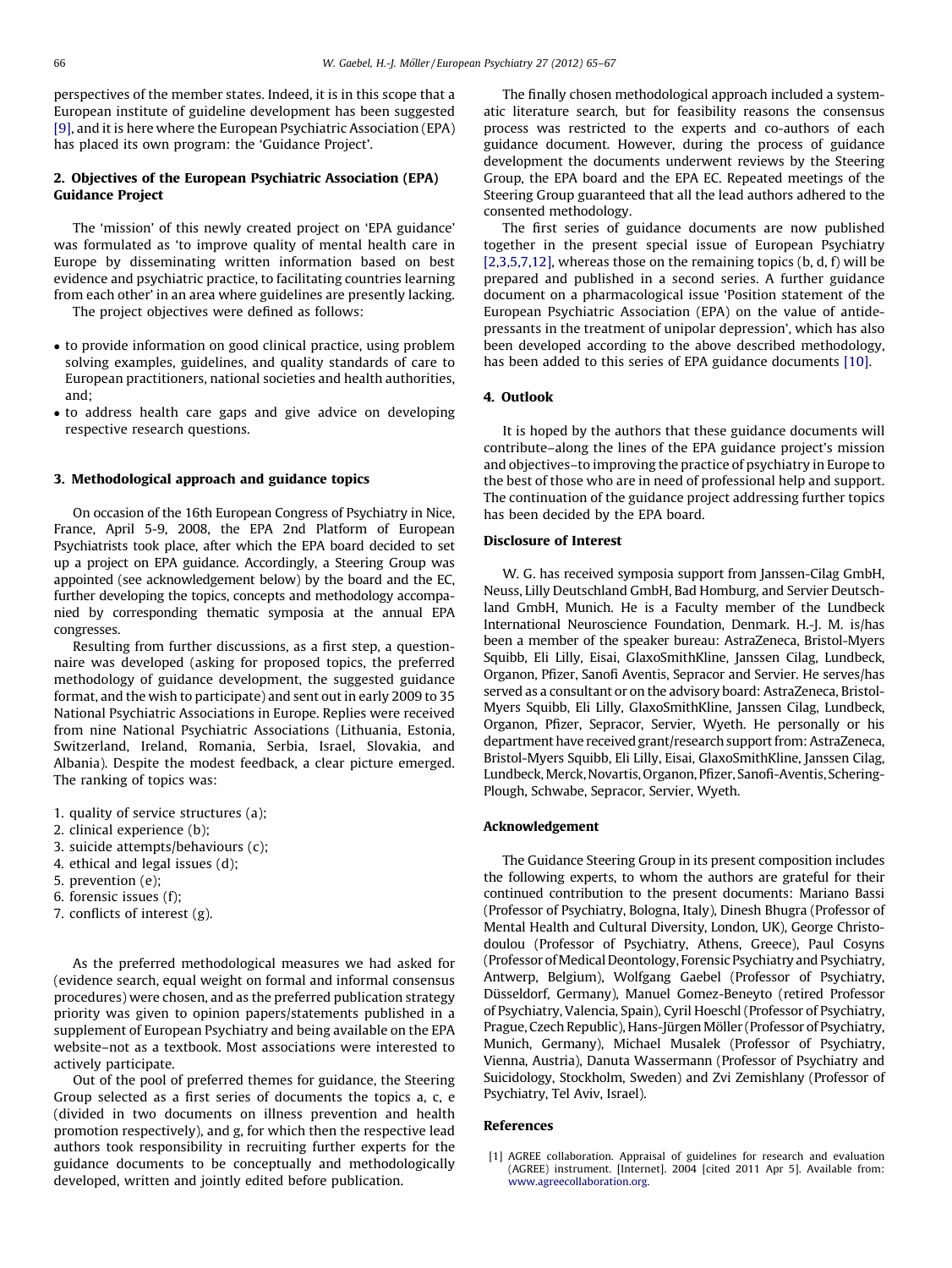<span id="page-1-0"></span>perspectives of the member states. Indeed, it is in this scope that a European institute of guideline development has been suggested [\[9\],](#page-2-0) and it is here where the European Psychiatric Association (EPA) has placed its own program: the 'Guidance Project'.

### 2. Objectives of the European Psychiatric Association (EPA) Guidance Project

The 'mission' of this newly created project on 'EPA guidance' was formulated as 'to improve quality of mental health care in Europe by disseminating written information based on best evidence and psychiatric practice, to facilitating countries learning from each other' in an area where guidelines are presently lacking.

The project objectives were defined as follows:

- to provide information on good clinical practice, using problem solving examples, guidelines, and quality standards of care to European practitioners, national societies and health authorities, and;
- to address health care gaps and give advice on developing respective research questions.

#### 3. Methodological approach and guidance topics

On occasion of the 16th European Congress of Psychiatry in Nice, France, April 5-9, 2008, the EPA 2nd Platform of European Psychiatrists took place, after which the EPA board decided to set up a project on EPA guidance. Accordingly, a Steering Group was appointed (see acknowledgement below) by the board and the EC, further developing the topics, concepts and methodology accompanied by corresponding thematic symposia at the annual EPA congresses.

Resulting from further discussions, as a first step, a questionnaire was developed (asking for proposed topics, the preferred methodology of guidance development, the suggested guidance format, and the wish to participate) and sent out in early 2009 to 35 National Psychiatric Associations in Europe. Replies were received from nine National Psychiatric Associations (Lithuania, Estonia, Switzerland, Ireland, Romania, Serbia, Israel, Slovakia, and Albania). Despite the modest feedback, a clear picture emerged. The ranking of topics was:

- 1. quality of service structures (a);
- 2. clinical experience (b);
- 3. suicide attempts/behaviours (c);
- 4. ethical and legal issues (d);
- 5. prevention (e);
- 6. forensic issues (f);
- 7. conflicts of interest (g).

As the preferred methodological measures we had asked for (evidence search, equal weight on formal and informal consensus procedures) were chosen, and as the preferred publication strategy priority was given to opinion papers/statements published in a supplement of European Psychiatry and being available on the EPA website–not as a textbook. Most associations were interested to actively participate.

Out of the pool of preferred themes for guidance, the Steering Group selected as a first series of documents the topics a, c, e (divided in two documents on illness prevention and health promotion respectively), and g, for which then the respective lead authors took responsibility in recruiting further experts for the guidance documents to be conceptually and methodologically developed, written and jointly edited before publication.

The finally chosen methodological approach included a systematic literature search, but for feasibility reasons the consensus process was restricted to the experts and co-authors of each guidance document. However, during the process of guidance development the documents underwent reviews by the Steering Group, the EPA board and the EPA EC. Repeated meetings of the Steering Group guaranteed that all the lead authors adhered to the consented methodology.

The first series of guidance documents are now published together in the present special issue of European Psychiatry  $[2,3,5,7,12]$ , whereas those on the remaining topics  $(b, d, f)$  will be prepared and published in a second series. A further guidance document on a pharmacological issue 'Position statement of the European Psychiatric Association (EPA) on the value of antidepressants in the treatment of unipolar depression', which has also been developed according to the above described methodology, has been added to this series of EPA guidance documents [\[10\].](#page-2-0)

#### 4. Outlook

It is hoped by the authors that these guidance documents will contribute–along the lines of the EPA guidance project's mission and objectives–to improving the practice of psychiatry in Europe to the best of those who are in need of professional help and support. The continuation of the guidance project addressing further topics has been decided by the EPA board.

#### Disclosure of Interest

W. G. has received symposia support from Janssen-Cilag GmbH, Neuss, Lilly Deutschland GmbH, Bad Homburg, and Servier Deutschland GmbH, Munich. He is a Faculty member of the Lundbeck International Neuroscience Foundation, Denmark. H.-J. M. is/has been a member of the speaker bureau: AstraZeneca, Bristol-Myers Squibb, Eli Lilly, Eisai, GlaxoSmithKline, Janssen Cilag, Lundbeck, Organon, Pfizer, Sanofi Aventis, Sepracor and Servier. He serves/has served as a consultant or on the advisory board: AstraZeneca, Bristol-Myers Squibb, Eli Lilly, GlaxoSmithKline, Janssen Cilag, Lundbeck, Organon, Pfizer, Sepracor, Servier, Wyeth. He personally or his department have received grant/research support from: AstraZeneca, Bristol-Myers Squibb, Eli Lilly, Eisai, GlaxoSmithKline, Janssen Cilag, Lundbeck, Merck, Novartis, Organon, Pfizer, Sanofi-Aventis, Schering-Plough, Schwabe, Sepracor, Servier, Wyeth.

#### Acknowledgement

The Guidance Steering Group in its present composition includes the following experts, to whom the authors are grateful for their continued contribution to the present documents: Mariano Bassi (Professor of Psychiatry, Bologna, Italy), Dinesh Bhugra (Professor of Mental Health and Cultural Diversity, London, UK), George Christodoulou (Professor of Psychiatry, Athens, Greece), Paul Cosyns (Professor of Medical Deontology, Forensic Psychiatry and Psychiatry, Antwerp, Belgium), Wolfgang Gaebel (Professor of Psychiatry, Düsseldorf, Germany), Manuel Gomez-Beneyto (retired Professor of Psychiatry, Valencia, Spain), Cyril Hoeschl (Professor of Psychiatry, Prague, Czech Republic), Hans-Jürgen Möller (Professor of Psychiatry, Munich, Germany), Michael Musalek (Professor of Psychiatry, Vienna, Austria), Danuta Wassermann (Professor of Psychiatry and Suicidology, Stockholm, Sweden) and Zvi Zemishlany (Professor of Psychiatry, Tel Aviv, Israel).

#### References

[1] AGREE collaboration. Appraisal of guidelines for research and evaluation (AGREE) instrument. [Internet]. 2004 [cited 2011 Apr 5]. Available from: [www.agreecollaboration.org.](http://www.agreecollaboration.org/)